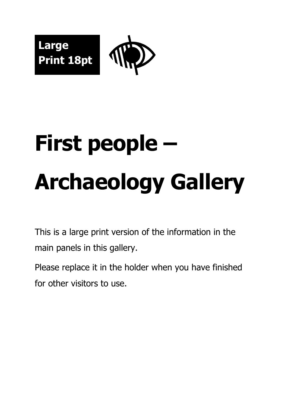



# **First people – Archaeology Gallery**

This is a large print version of the information in the main panels in this gallery.

Please replace it in the holder when you have finished for other visitors to use.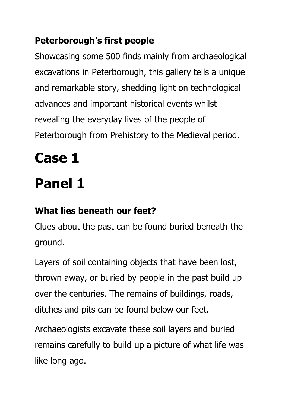#### **Peterborough's first people**

Showcasing some 500 finds mainly from archaeological excavations in Peterborough, this gallery tells a unique and remarkable story, shedding light on technological advances and important historical events whilst revealing the everyday lives of the people of Peterborough from Prehistory to the Medieval period.

# **Case 1**

### **Panel 1**

#### **What lies beneath our feet?**

Clues about the past can be found buried beneath the ground.

Layers of soil containing objects that have been lost, thrown away, or buried by people in the past build up over the centuries. The remains of buildings, roads, ditches and pits can be found below our feet.

Archaeologists excavate these soil layers and buried remains carefully to build up a picture of what life was like long ago.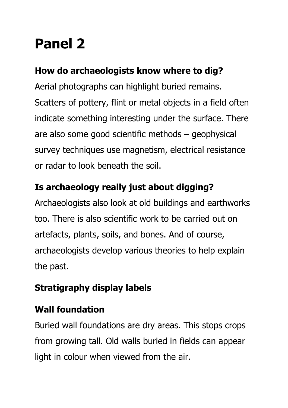### **Panel 2**

#### **How do archaeologists know where to dig?**

Aerial photographs can highlight buried remains. Scatters of pottery, flint or metal objects in a field often indicate something interesting under the surface. There are also some good scientific methods – geophysical survey techniques use magnetism, electrical resistance or radar to look beneath the soil.

#### **Is archaeology really just about digging?**

Archaeologists also look at old buildings and earthworks too. There is also scientific work to be carried out on artefacts, plants, soils, and bones. And of course, archaeologists develop various theories to help explain the past.

#### **Stratigraphy display labels**

#### **Wall foundation**

Buried wall foundations are dry areas. This stops crops from growing tall. Old walls buried in fields can appear light in colour when viewed from the air.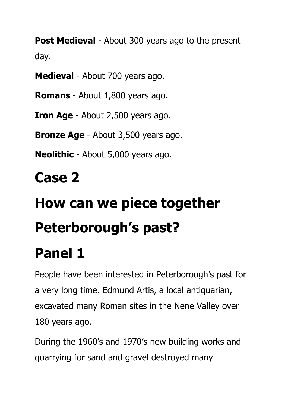**Post Medieval** - About 300 years ago to the present day.

**Medieval** - About 700 years ago.

**Romans** - About 1,800 years ago.

**Iron Age** - About 2,500 years ago.

**Bronze Age** - About 3,500 years ago.

**Neolithic** - About 5,000 years ago.

### **Case 2**

# **How can we piece together Peterborough's past?**

### **Panel 1**

People have been interested in Peterborough's past for a very long time. Edmund Artis, a local antiquarian, excavated many Roman sites in the Nene Valley over 180 years ago.

During the 1960's and 1970's new building works and quarrying for sand and gravel destroyed many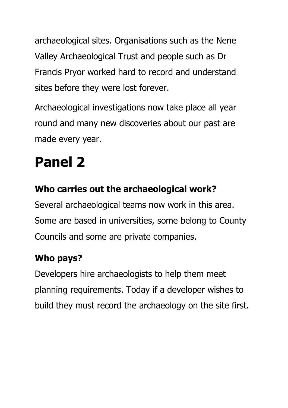archaeological sites. Organisations such as the Nene Valley Archaeological Trust and people such as Dr Francis Pryor worked hard to record and understand sites before they were lost forever.

Archaeological investigations now take place all year round and many new discoveries about our past are made every year.

### **Panel 2**

#### **Who carries out the archaeological work?**

Several archaeological teams now work in this area. Some are based in universities, some belong to County Councils and some are private companies.

#### **Who pays?**

Developers hire archaeologists to help them meet planning requirements. Today if a developer wishes to build they must record the archaeology on the site first.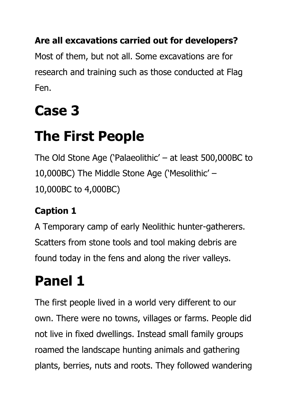#### **Are all excavations carried out for developers?**

Most of them, but not all. Some excavations are for research and training such as those conducted at Flag Fen.

### **Case 3**

### **The First People**

The Old Stone Age ('Palaeolithic' – at least 500,000BC to 10,000BC) The Middle Stone Age ('Mesolithic' – 10,000BC to 4,000BC)

#### **Caption 1**

A Temporary camp of early Neolithic hunter-gatherers. Scatters from stone tools and tool making debris are found today in the fens and along the river valleys.

### **Panel 1**

The first people lived in a world very different to our own. There were no towns, villages or farms. People did not live in fixed dwellings. Instead small family groups roamed the landscape hunting animals and gathering plants, berries, nuts and roots. They followed wandering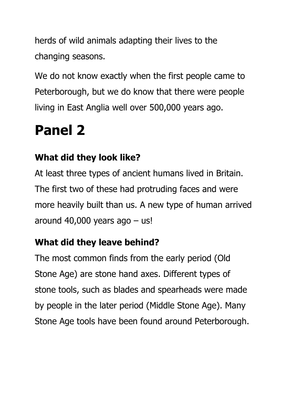herds of wild animals adapting their lives to the changing seasons.

We do not know exactly when the first people came to Peterborough, but we do know that there were people living in East Anglia well over 500,000 years ago.

### **Panel 2**

#### **What did they look like?**

At least three types of ancient humans lived in Britain. The first two of these had protruding faces and were more heavily built than us. A new type of human arrived around  $40,000$  years ago  $-$  us!

#### **What did they leave behind?**

The most common finds from the early period (Old Stone Age) are stone hand axes. Different types of stone tools, such as blades and spearheads were made by people in the later period (Middle Stone Age). Many Stone Age tools have been found around Peterborough.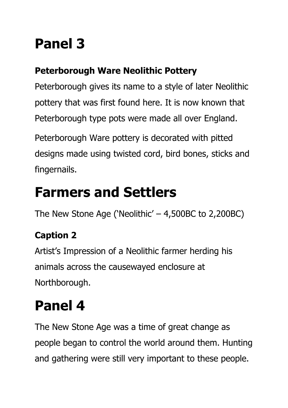### **Panel 3**

#### **Peterborough Ware Neolithic Pottery**

Peterborough gives its name to a style of later Neolithic pottery that was first found here. It is now known that Peterborough type pots were made all over England.

Peterborough Ware pottery is decorated with pitted designs made using twisted cord, bird bones, sticks and fingernails.

### **Farmers and Settlers**

The New Stone Age ('Neolithic' – 4,500BC to 2,200BC)

#### **Caption 2**

Artist's Impression of a Neolithic farmer herding his animals across the causewayed enclosure at Northborough.

### **Panel 4**

The New Stone Age was a time of great change as people began to control the world around them. Hunting and gathering were still very important to these people.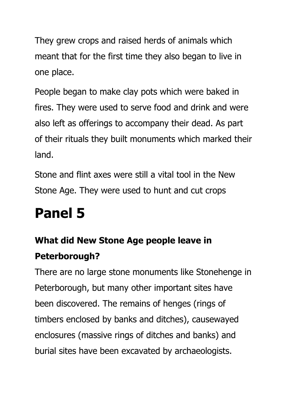They grew crops and raised herds of animals which meant that for the first time they also began to live in one place.

People began to make clay pots which were baked in fires. They were used to serve food and drink and were also left as offerings to accompany their dead. As part of their rituals they built monuments which marked their land.

Stone and flint axes were still a vital tool in the New Stone Age. They were used to hunt and cut crops

### **Panel 5**

#### **What did New Stone Age people leave in Peterborough?**

There are no large stone monuments like Stonehenge in Peterborough, but many other important sites have been discovered. The remains of henges (rings of timbers enclosed by banks and ditches), causewayed enclosures (massive rings of ditches and banks) and burial sites have been excavated by archaeologists.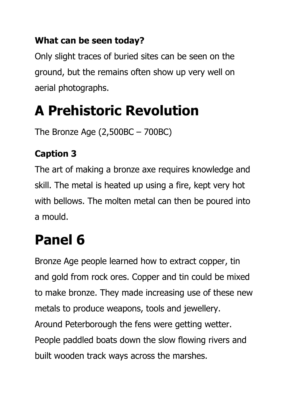#### **What can be seen today?**

Only slight traces of buried sites can be seen on the ground, but the remains often show up very well on aerial photographs.

### **A Prehistoric Revolution**

The Bronze Age (2,500BC – 700BC)

#### **Caption 3**

The art of making a bronze axe requires knowledge and skill. The metal is heated up using a fire, kept very hot with bellows. The molten metal can then be poured into a mould.

### **Panel 6**

Bronze Age people learned how to extract copper, tin and gold from rock ores. Copper and tin could be mixed to make bronze. They made increasing use of these new metals to produce weapons, tools and jewellery. Around Peterborough the fens were getting wetter. People paddled boats down the slow flowing rivers and built wooden track ways across the marshes.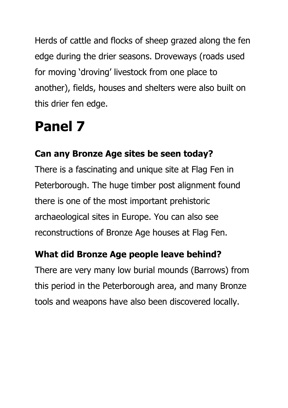Herds of cattle and flocks of sheep grazed along the fen edge during the drier seasons. Droveways (roads used for moving 'droving' livestock from one place to another), fields, houses and shelters were also built on this drier fen edge.

### **Panel 7**

#### **Can any Bronze Age sites be seen today?**

There is a fascinating and unique site at Flag Fen in Peterborough. The huge timber post alignment found there is one of the most important prehistoric archaeological sites in Europe. You can also see reconstructions of Bronze Age houses at Flag Fen.

#### **What did Bronze Age people leave behind?**

There are very many low burial mounds (Barrows) from this period in the Peterborough area, and many Bronze tools and weapons have also been discovered locally.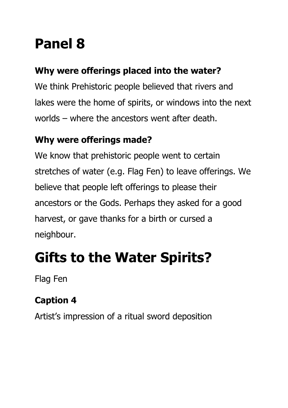### **Panel 8**

#### **Why were offerings placed into the water?**

We think Prehistoric people believed that rivers and lakes were the home of spirits, or windows into the next worlds – where the ancestors went after death.

#### **Why were offerings made?**

We know that prehistoric people went to certain stretches of water (e.g. Flag Fen) to leave offerings. We believe that people left offerings to please their ancestors or the Gods. Perhaps they asked for a good harvest, or gave thanks for a birth or cursed a neighbour.

### **Gifts to the Water Spirits?**

Flag Fen

#### **Caption 4**

Artist's impression of a ritual sword deposition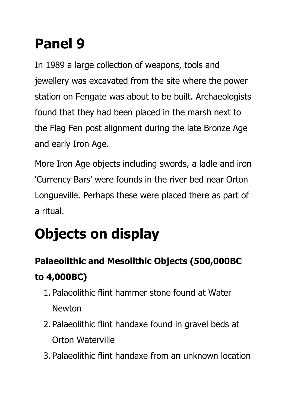### **Panel 9**

In 1989 a large collection of weapons, tools and jewellery was excavated from the site where the power station on Fengate was about to be built. Archaeologists found that they had been placed in the marsh next to the Flag Fen post alignment during the late Bronze Age and early Iron Age.

More Iron Age objects including swords, a ladle and iron 'Currency Bars' were founds in the river bed near Orton Longueville. Perhaps these were placed there as part of a ritual.

## **Objects on display**

#### **Palaeolithic and Mesolithic Objects (500,000BC to 4,000BC)**

- 1. Palaeolithic flint hammer stone found at Water Newton
- 2. Palaeolithic flint handaxe found in gravel beds at Orton Waterville
- 3. Palaeolithic flint handaxe from an unknown location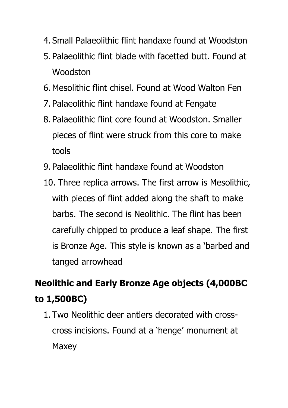- 4. Small Palaeolithic flint handaxe found at Woodston
- 5. Palaeolithic flint blade with facetted butt. Found at Woodston
- 6.Mesolithic flint chisel. Found at Wood Walton Fen
- 7. Palaeolithic flint handaxe found at Fengate
- 8. Palaeolithic flint core found at Woodston. Smaller pieces of flint were struck from this core to make tools
- 9. Palaeolithic flint handaxe found at Woodston
- 10. Three replica arrows. The first arrow is Mesolithic, with pieces of flint added along the shaft to make barbs. The second is Neolithic. The flint has been carefully chipped to produce a leaf shape. The first is Bronze Age. This style is known as a 'barbed and tanged arrowhead

#### **Neolithic and Early Bronze Age objects (4,000BC to 1,500BC)**

1. Two Neolithic deer antlers decorated with crosscross incisions. Found at a 'henge' monument at **Maxey**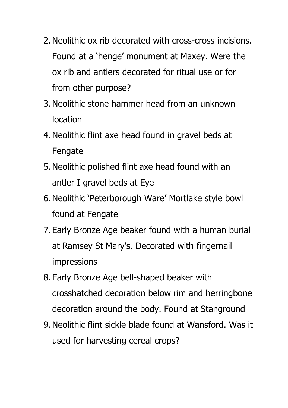- 2.Neolithic ox rib decorated with cross-cross incisions. Found at a 'henge' monument at Maxey. Were the ox rib and antlers decorated for ritual use or for from other purpose?
- 3.Neolithic stone hammer head from an unknown location
- 4.Neolithic flint axe head found in gravel beds at Fengate
- 5.Neolithic polished flint axe head found with an antler I gravel beds at Eye
- 6.Neolithic 'Peterborough Ware' Mortlake style bowl found at Fengate
- 7. Early Bronze Age beaker found with a human burial at Ramsey St Mary's. Decorated with fingernail impressions
- 8. Early Bronze Age bell-shaped beaker with crosshatched decoration below rim and herringbone decoration around the body. Found at Stanground
- 9.Neolithic flint sickle blade found at Wansford. Was it used for harvesting cereal crops?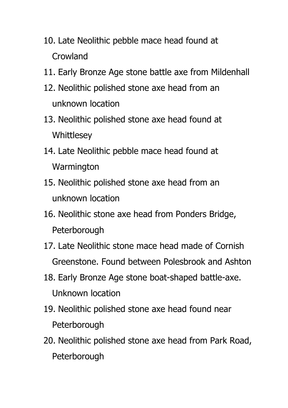- 10. Late Neolithic pebble mace head found at Crowland
- 11. Early Bronze Age stone battle axe from Mildenhall
- 12. Neolithic polished stone axe head from an unknown location
- 13. Neolithic polished stone axe head found at **Whittlesey**
- 14. Late Neolithic pebble mace head found at **Warmington**
- 15. Neolithic polished stone axe head from an unknown location
- 16. Neolithic stone axe head from Ponders Bridge, Peterborough
- 17. Late Neolithic stone mace head made of Cornish Greenstone. Found between Polesbrook and Ashton
- 18. Early Bronze Age stone boat-shaped battle-axe. Unknown location
- 19. Neolithic polished stone axe head found near Peterborough
- 20. Neolithic polished stone axe head from Park Road, **Peterborough**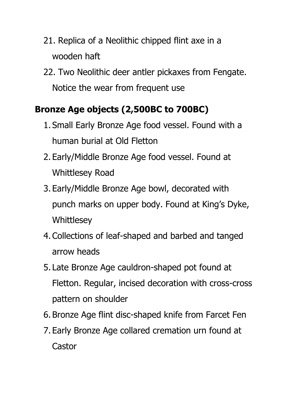- 21. Replica of a Neolithic chipped flint axe in a wooden haft
- 22. Two Neolithic deer antler pickaxes from Fengate. Notice the wear from frequent use

#### **Bronze Age objects (2,500BC to 700BC)**

- 1. Small Early Bronze Age food vessel. Found with a human burial at Old Fletton
- 2. Early/Middle Bronze Age food vessel. Found at Whittlesey Road
- 3. Early/Middle Bronze Age bowl, decorated with punch marks on upper body. Found at King's Dyke, **Whittlesey**
- 4.Collections of leaf-shaped and barbed and tanged arrow heads
- 5. Late Bronze Age cauldron-shaped pot found at Fletton. Regular, incised decoration with cross-cross pattern on shoulder
- 6. Bronze Age flint disc-shaped knife from Farcet Fen
- 7. Early Bronze Age collared cremation urn found at **Castor**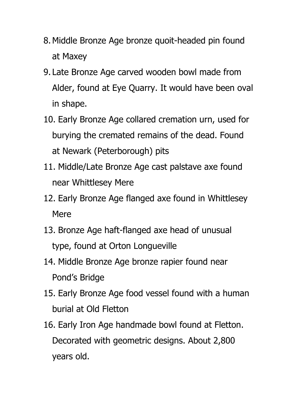- 8.Middle Bronze Age bronze quoit-headed pin found at Maxey
- 9. Late Bronze Age carved wooden bowl made from Alder, found at Eye Quarry. It would have been oval in shape.
- 10. Early Bronze Age collared cremation urn, used for burying the cremated remains of the dead. Found at Newark (Peterborough) pits
- 11. Middle/Late Bronze Age cast palstave axe found near Whittlesey Mere
- 12. Early Bronze Age flanged axe found in Whittlesey Mere
- 13. Bronze Age haft-flanged axe head of unusual type, found at Orton Longueville
- 14. Middle Bronze Age bronze rapier found near Pond's Bridge
- 15. Early Bronze Age food vessel found with a human burial at Old Fletton
- 16. Early Iron Age handmade bowl found at Fletton. Decorated with geometric designs. About 2,800 years old.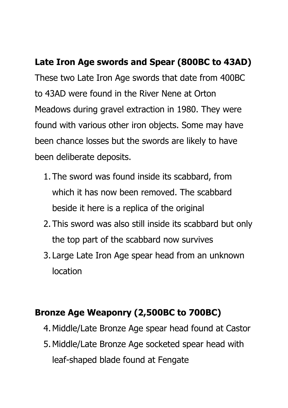#### **Late Iron Age swords and Spear (800BC to 43AD)**

These two Late Iron Age swords that date from 400BC to 43AD were found in the River Nene at Orton Meadows during gravel extraction in 1980. They were found with various other iron objects. Some may have been chance losses but the swords are likely to have been deliberate deposits.

- 1. The sword was found inside its scabbard, from which it has now been removed. The scabbard beside it here is a replica of the original
- 2. This sword was also still inside its scabbard but only the top part of the scabbard now survives
- 3. Large Late Iron Age spear head from an unknown location

#### **Bronze Age Weaponry (2,500BC to 700BC)**

- 4.Middle/Late Bronze Age spear head found at Castor
- 5.Middle/Late Bronze Age socketed spear head with leaf-shaped blade found at Fengate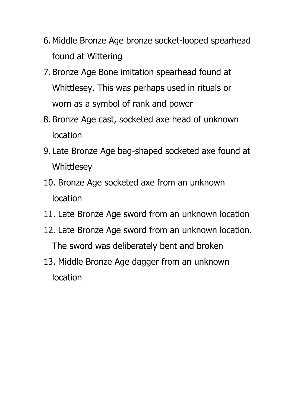- 6.Middle Bronze Age bronze socket-looped spearhead found at Wittering
- 7. Bronze Age Bone imitation spearhead found at Whittlesey. This was perhaps used in rituals or worn as a symbol of rank and power
- 8. Bronze Age cast, socketed axe head of unknown location
- 9. Late Bronze Age bag-shaped socketed axe found at **Whittlesey**
- 10. Bronze Age socketed axe from an unknown location
- 11. Late Bronze Age sword from an unknown location
- 12. Late Bronze Age sword from an unknown location. The sword was deliberately bent and broken
- 13. Middle Bronze Age dagger from an unknown location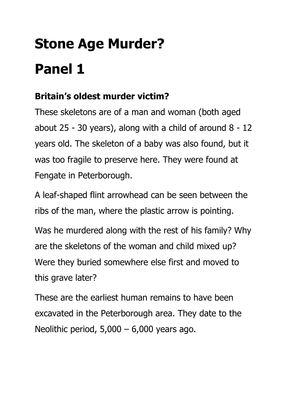# **Stone Age Murder? Panel 1**

#### **Britain's oldest murder victim?**

These skeletons are of a man and woman (both aged about 25 - 30 years), along with a child of around 8 - 12 years old. The skeleton of a baby was also found, but it was too fragile to preserve here. They were found at Fengate in Peterborough.

A leaf-shaped flint arrowhead can be seen between the ribs of the man, where the plastic arrow is pointing.

Was he murdered along with the rest of his family? Why are the skeletons of the woman and child mixed up? Were they buried somewhere else first and moved to this grave later?

These are the earliest human remains to have been excavated in the Peterborough area. They date to the Neolithic period,  $5,000 - 6,000$  years ago.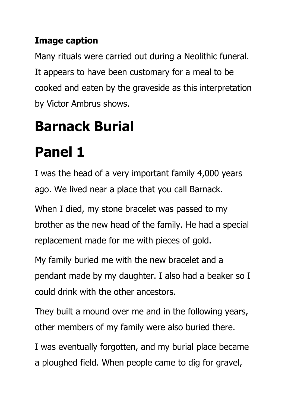#### **Image caption**

Many rituals were carried out during a Neolithic funeral. It appears to have been customary for a meal to be cooked and eaten by the graveside as this interpretation by Victor Ambrus shows.

### **Barnack Burial**

### **Panel 1**

I was the head of a very important family 4,000 years ago. We lived near a place that you call Barnack.

When I died, my stone bracelet was passed to my brother as the new head of the family. He had a special replacement made for me with pieces of gold.

My family buried me with the new bracelet and a pendant made by my daughter. I also had a beaker so I could drink with the other ancestors.

They built a mound over me and in the following years, other members of my family were also buried there.

I was eventually forgotten, and my burial place became a ploughed field. When people came to dig for gravel,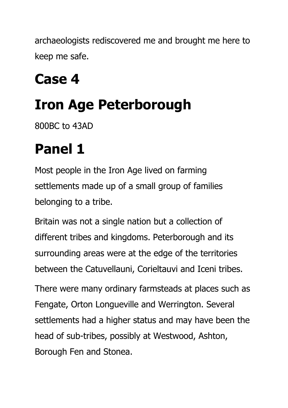archaeologists rediscovered me and brought me here to keep me safe.

### **Case 4**

### **Iron Age Peterborough**

800BC to 43AD

### **Panel 1**

Most people in the Iron Age lived on farming settlements made up of a small group of families belonging to a tribe.

Britain was not a single nation but a collection of different tribes and kingdoms. Peterborough and its surrounding areas were at the edge of the territories between the Catuvellauni, Corieltauvi and Iceni tribes.

There were many ordinary farmsteads at places such as Fengate, Orton Longueville and Werrington. Several settlements had a higher status and may have been the head of sub-tribes, possibly at Westwood, Ashton, Borough Fen and Stonea.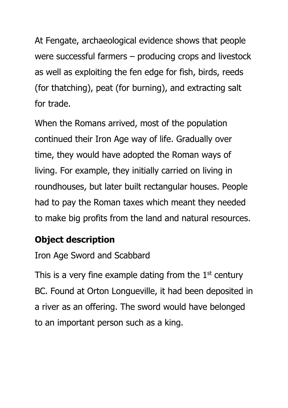At Fengate, archaeological evidence shows that people were successful farmers – producing crops and livestock as well as exploiting the fen edge for fish, birds, reeds (for thatching), peat (for burning), and extracting salt for trade.

When the Romans arrived, most of the population continued their Iron Age way of life. Gradually over time, they would have adopted the Roman ways of living. For example, they initially carried on living in roundhouses, but later built rectangular houses. People had to pay the Roman taxes which meant they needed to make big profits from the land and natural resources.

#### **Object description**

Iron Age Sword and Scabbard

This is a very fine example dating from the  $1<sup>st</sup>$  century BC. Found at Orton Longueville, it had been deposited in a river as an offering. The sword would have belonged to an important person such as a king.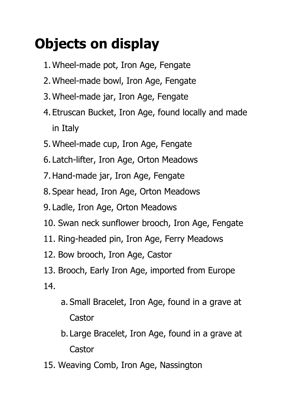### **Objects on display**

- 1.Wheel-made pot, Iron Age, Fengate
- 2.Wheel-made bowl, Iron Age, Fengate
- 3.Wheel-made jar, Iron Age, Fengate
- 4. Etruscan Bucket, Iron Age, found locally and made in Italy
- 5.Wheel-made cup, Iron Age, Fengate
- 6. Latch-lifter, Iron Age, Orton Meadows
- 7.Hand-made jar, Iron Age, Fengate
- 8. Spear head, Iron Age, Orton Meadows
- 9. Ladle, Iron Age, Orton Meadows
- 10. Swan neck sunflower brooch, Iron Age, Fengate
- 11. Ring-headed pin, Iron Age, Ferry Meadows
- 12. Bow brooch, Iron Age, Castor
- 13. Brooch, Early Iron Age, imported from Europe 14.
	- a. Small Bracelet, Iron Age, found in a grave at Castor
	- b. Large Bracelet, Iron Age, found in a grave at **Castor**
- 15. Weaving Comb, Iron Age, Nassington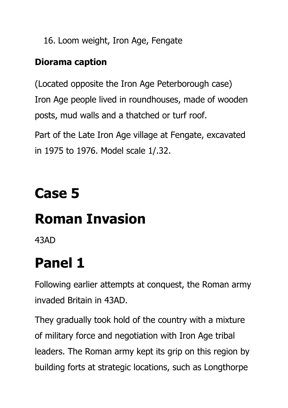16. Loom weight, Iron Age, Fengate

#### **Diorama caption**

(Located opposite the Iron Age Peterborough case) Iron Age people lived in roundhouses, made of wooden posts, mud walls and a thatched or turf roof.

Part of the Late Iron Age village at Fengate, excavated in 1975 to 1976. Model scale 1/.32.

### **Case 5**

### **Roman Invasion**

43AD

### **Panel 1**

Following earlier attempts at conquest, the Roman army invaded Britain in 43AD.

They gradually took hold of the country with a mixture of military force and negotiation with Iron Age tribal leaders. The Roman army kept its grip on this region by building forts at strategic locations, such as Longthorpe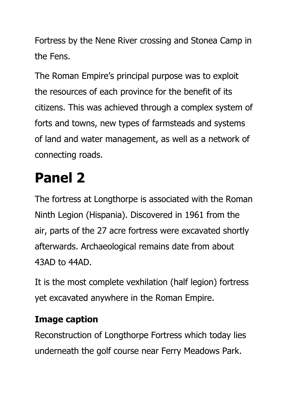Fortress by the Nene River crossing and Stonea Camp in the Fens.

The Roman Empire's principal purpose was to exploit the resources of each province for the benefit of its citizens. This was achieved through a complex system of forts and towns, new types of farmsteads and systems of land and water management, as well as a network of connecting roads.

### **Panel 2**

The fortress at Longthorpe is associated with the Roman Ninth Legion (Hispania). Discovered in 1961 from the air, parts of the 27 acre fortress were excavated shortly afterwards. Archaeological remains date from about 43AD to 44AD.

It is the most complete vexhilation (half legion) fortress yet excavated anywhere in the Roman Empire.

#### **Image caption**

Reconstruction of Longthorpe Fortress which today lies underneath the golf course near Ferry Meadows Park.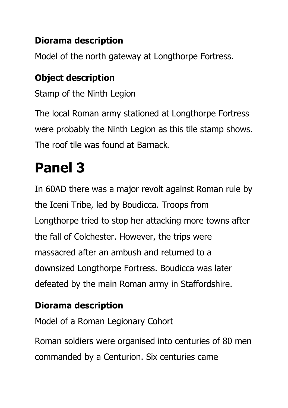#### **Diorama description**

Model of the north gateway at Longthorpe Fortress.

#### **Object description**

Stamp of the Ninth Legion

The local Roman army stationed at Longthorpe Fortress were probably the Ninth Legion as this tile stamp shows. The roof tile was found at Barnack.

### **Panel 3**

In 60AD there was a major revolt against Roman rule by the Iceni Tribe, led by Boudicca. Troops from Longthorpe tried to stop her attacking more towns after the fall of Colchester. However, the trips were massacred after an ambush and returned to a downsized Longthorpe Fortress. Boudicca was later defeated by the main Roman army in Staffordshire.

#### **Diorama description**

Model of a Roman Legionary Cohort

Roman soldiers were organised into centuries of 80 men commanded by a Centurion. Six centuries came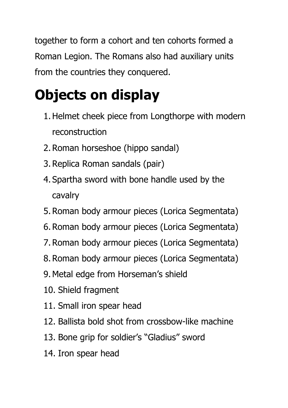together to form a cohort and ten cohorts formed a Roman Legion. The Romans also had auxiliary units from the countries they conquered.

### **Objects on display**

- 1.Helmet cheek piece from Longthorpe with modern reconstruction
- 2.Roman horseshoe (hippo sandal)
- 3.Replica Roman sandals (pair)
- 4. Spartha sword with bone handle used by the cavalry
- 5.Roman body armour pieces (Lorica Segmentata)
- 6.Roman body armour pieces (Lorica Segmentata)
- 7.Roman body armour pieces (Lorica Segmentata)
- 8.Roman body armour pieces (Lorica Segmentata)
- 9.Metal edge from Horseman's shield
- 10. Shield fragment
- 11. Small iron spear head
- 12. Ballista bold shot from crossbow-like machine
- 13. Bone grip for soldier's "Gladius" sword
- 14. Iron spear head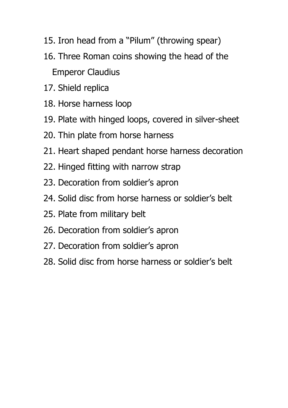- 15. Iron head from a "Pilum" (throwing spear)
- 16. Three Roman coins showing the head of the Emperor Claudius
- 17. Shield replica
- 18. Horse harness loop
- 19. Plate with hinged loops, covered in silver-sheet
- 20. Thin plate from horse harness
- 21. Heart shaped pendant horse harness decoration
- 22. Hinged fitting with narrow strap
- 23. Decoration from soldier's apron
- 24. Solid disc from horse harness or soldier's belt
- 25. Plate from military belt
- 26. Decoration from soldier's apron
- 27. Decoration from soldier's apron
- 28. Solid disc from horse harness or soldier's belt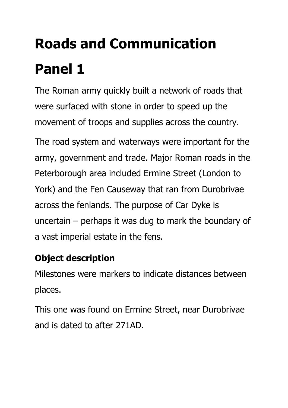# **Roads and Communication Panel 1**

The Roman army quickly built a network of roads that were surfaced with stone in order to speed up the movement of troops and supplies across the country.

The road system and waterways were important for the army, government and trade. Major Roman roads in the Peterborough area included Ermine Street (London to York) and the Fen Causeway that ran from Durobrivae across the fenlands. The purpose of Car Dyke is uncertain – perhaps it was dug to mark the boundary of a vast imperial estate in the fens.

#### **Object description**

Milestones were markers to indicate distances between places.

This one was found on Ermine Street, near Durobrivae and is dated to after 271AD.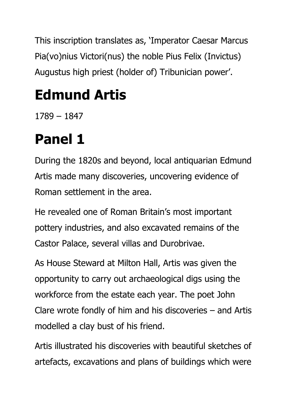This inscription translates as, 'Imperator Caesar Marcus Pia(vo)nius Victori(nus) the noble Pius Felix (Invictus) Augustus high priest (holder of) Tribunician power'.

### **Edmund Artis**

1789 – 1847

### **Panel 1**

During the 1820s and beyond, local antiquarian Edmund Artis made many discoveries, uncovering evidence of Roman settlement in the area.

He revealed one of Roman Britain's most important pottery industries, and also excavated remains of the Castor Palace, several villas and Durobrivae.

As House Steward at Milton Hall, Artis was given the opportunity to carry out archaeological digs using the workforce from the estate each year. The poet John Clare wrote fondly of him and his discoveries – and Artis modelled a clay bust of his friend.

Artis illustrated his discoveries with beautiful sketches of artefacts, excavations and plans of buildings which were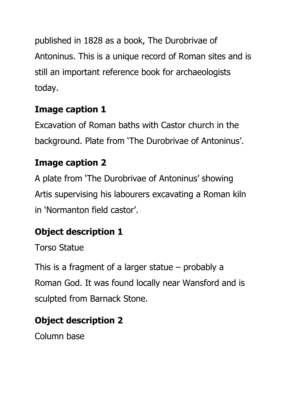published in 1828 as a book, The Durobrivae of Antoninus. This is a unique record of Roman sites and is still an important reference book for archaeologists today.

#### **Image caption 1**

Excavation of Roman baths with Castor church in the background. Plate from 'The Durobrivae of Antoninus'.

#### **Image caption 2**

A plate from 'The Durobrivae of Antoninus' showing Artis supervising his labourers excavating a Roman kiln in 'Normanton field castor'.

#### **Object description 1**

Torso Statue

This is a fragment of a larger statue – probably a Roman God. It was found locally near Wansford and is sculpted from Barnack Stone.

#### **Object description 2**

Column base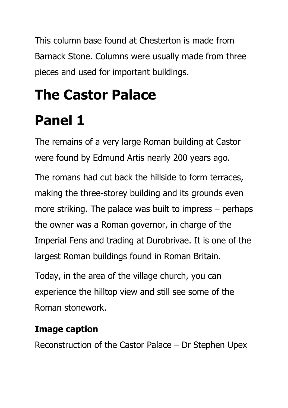This column base found at Chesterton is made from Barnack Stone. Columns were usually made from three pieces and used for important buildings.

# **The Castor Palace Panel 1**

The remains of a very large Roman building at Castor were found by Edmund Artis nearly 200 years ago.

The romans had cut back the hillside to form terraces, making the three-storey building and its grounds even more striking. The palace was built to impress – perhaps the owner was a Roman governor, in charge of the Imperial Fens and trading at Durobrivae. It is one of the largest Roman buildings found in Roman Britain.

Today, in the area of the village church, you can experience the hilltop view and still see some of the Roman stonework.

#### **Image caption**

Reconstruction of the Castor Palace – Dr Stephen Upex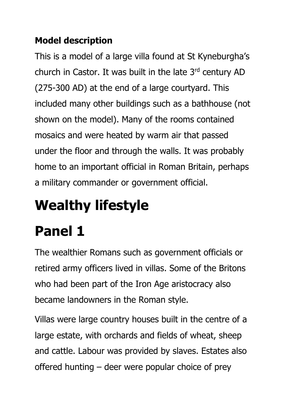#### **Model description**

This is a model of a large villa found at St Kyneburgha's church in Castor. It was built in the late 3rd century AD (275-300 AD) at the end of a large courtyard. This included many other buildings such as a bathhouse (not shown on the model). Many of the rooms contained mosaics and were heated by warm air that passed under the floor and through the walls. It was probably home to an important official in Roman Britain, perhaps a military commander or government official.

# **Wealthy lifestyle**

### **Panel 1**

The wealthier Romans such as government officials or retired army officers lived in villas. Some of the Britons who had been part of the Iron Age aristocracy also became landowners in the Roman style.

Villas were large country houses built in the centre of a large estate, with orchards and fields of wheat, sheep and cattle. Labour was provided by slaves. Estates also offered hunting – deer were popular choice of prey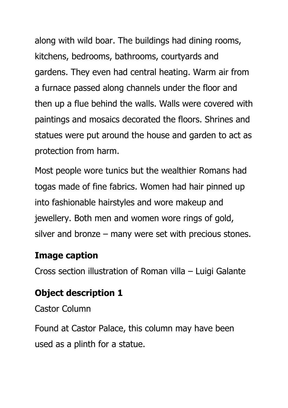along with wild boar. The buildings had dining rooms, kitchens, bedrooms, bathrooms, courtyards and gardens. They even had central heating. Warm air from a furnace passed along channels under the floor and then up a flue behind the walls. Walls were covered with paintings and mosaics decorated the floors. Shrines and statues were put around the house and garden to act as protection from harm.

Most people wore tunics but the wealthier Romans had togas made of fine fabrics. Women had hair pinned up into fashionable hairstyles and wore makeup and jewellery. Both men and women wore rings of gold, silver and bronze – many were set with precious stones.

#### **Image caption**

Cross section illustration of Roman villa – Luigi Galante

#### **Object description 1**

Castor Column

Found at Castor Palace, this column may have been used as a plinth for a statue.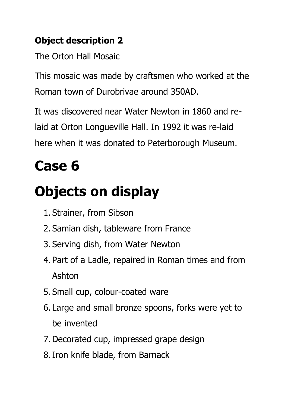#### **Object description 2**

The Orton Hall Mosaic

This mosaic was made by craftsmen who worked at the Roman town of Durobrivae around 350AD.

It was discovered near Water Newton in 1860 and relaid at Orton Longueville Hall. In 1992 it was re-laid here when it was donated to Peterborough Museum.

### **Case 6**

### **Objects on display**

- 1. Strainer, from Sibson
- 2. Samian dish, tableware from France
- 3. Serving dish, from Water Newton
- 4. Part of a Ladle, repaired in Roman times and from Ashton
- 5. Small cup, colour-coated ware
- 6. Large and small bronze spoons, forks were yet to be invented
- 7.Decorated cup, impressed grape design
- 8.Iron knife blade, from Barnack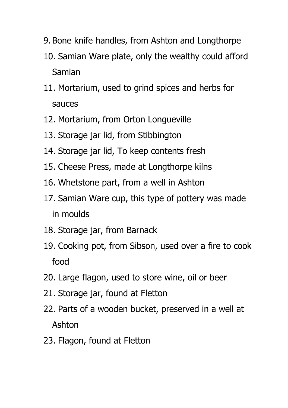- 9. Bone knife handles, from Ashton and Longthorpe
- 10. Samian Ware plate, only the wealthy could afford Samian
- 11. Mortarium, used to grind spices and herbs for sauces
- 12. Mortarium, from Orton Longueville
- 13. Storage jar lid, from Stibbington
- 14. Storage jar lid, To keep contents fresh
- 15. Cheese Press, made at Longthorpe kilns
- 16. Whetstone part, from a well in Ashton
- 17. Samian Ware cup, this type of pottery was made in moulds
- 18. Storage jar, from Barnack
- 19. Cooking pot, from Sibson, used over a fire to cook food
- 20. Large flagon, used to store wine, oil or beer
- 21. Storage jar, found at Fletton
- 22. Parts of a wooden bucket, preserved in a well at Ashton
- 23. Flagon, found at Fletton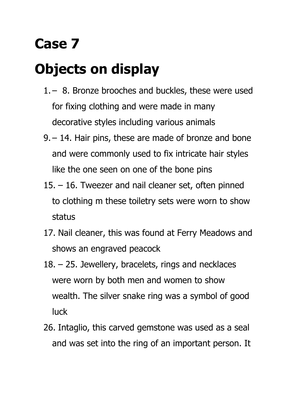### **Case 7**

### **Objects on display**

- 1. 8. Bronze brooches and buckles, these were used for fixing clothing and were made in many decorative styles including various animals
- 9. 14. Hair pins, these are made of bronze and bone and were commonly used to fix intricate hair styles like the one seen on one of the bone pins
- 15. 16. Tweezer and nail cleaner set, often pinned to clothing m these toiletry sets were worn to show status
- 17. Nail cleaner, this was found at Ferry Meadows and shows an engraved peacock
- 18. 25. Jewellery, bracelets, rings and necklaces were worn by both men and women to show wealth. The silver snake ring was a symbol of good luck
- 26. Intaglio, this carved gemstone was used as a seal and was set into the ring of an important person. It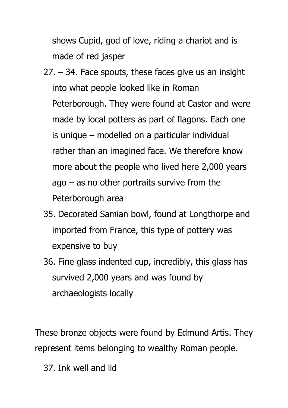shows Cupid, god of love, riding a chariot and is made of red jasper

- 27. 34. Face spouts, these faces give us an insight into what people looked like in Roman Peterborough. They were found at Castor and were made by local potters as part of flagons. Each one is unique – modelled on a particular individual rather than an imagined face. We therefore know more about the people who lived here 2,000 years  $a$ go – as no other portraits survive from the Peterborough area
- 35. Decorated Samian bowl, found at Longthorpe and imported from France, this type of pottery was expensive to buy
- 36. Fine glass indented cup, incredibly, this glass has survived 2,000 years and was found by archaeologists locally

These bronze objects were found by Edmund Artis. They represent items belonging to wealthy Roman people.

37. Ink well and lid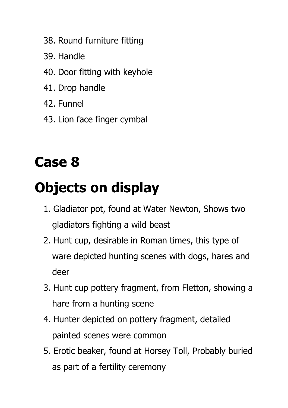- 38. Round furniture fitting
- 39. Handle
- 40. Door fitting with keyhole
- 41. Drop handle
- 42. Funnel
- 43. Lion face finger cymbal

### **Case 8**

### **Objects on display**

- 1. Gladiator pot, found at Water Newton, Shows two gladiators fighting a wild beast
- 2. Hunt cup, desirable in Roman times, this type of ware depicted hunting scenes with dogs, hares and deer
- 3. Hunt cup pottery fragment, from Fletton, showing a hare from a hunting scene
- 4. Hunter depicted on pottery fragment, detailed painted scenes were common
- 5. Erotic beaker, found at Horsey Toll, Probably buried as part of a fertility ceremony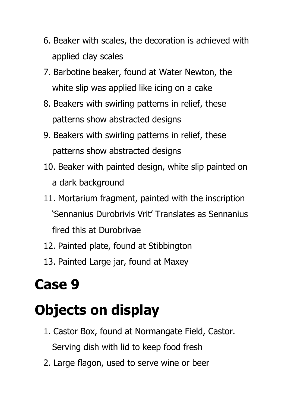- 6. Beaker with scales, the decoration is achieved with applied clay scales
- 7. Barbotine beaker, found at Water Newton, the white slip was applied like icing on a cake
- 8. Beakers with swirling patterns in relief, these patterns show abstracted designs
- 9. Beakers with swirling patterns in relief, these patterns show abstracted designs
- 10. Beaker with painted design, white slip painted on a dark background
- 11. Mortarium fragment, painted with the inscription 'Sennanius Durobrivis Vrit' Translates as Sennanius fired this at Durobrivae
- 12. Painted plate, found at Stibbington
- 13. Painted Large jar, found at Maxey

### **Case 9**

### **Objects on display**

- 1. Castor Box, found at Normangate Field, Castor. Serving dish with lid to keep food fresh
- 2. Large flagon, used to serve wine or beer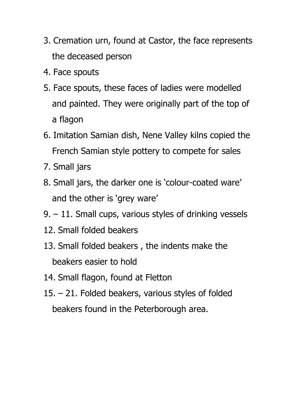- 3. Cremation urn, found at Castor, the face represents the deceased person
- 4. Face spouts
- 5. Face spouts, these faces of ladies were modelled and painted. They were originally part of the top of a flagon
- 6. Imitation Samian dish, Nene Valley kilns copied the French Samian style pottery to compete for sales
- 7. Small jars
- 8. Small jars, the darker one is 'colour-coated ware' and the other is 'grey ware'
- 9. 11. Small cups, various styles of drinking vessels
- 12. Small folded beakers
- 13. Small folded beakers , the indents make the beakers easier to hold
- 14. Small flagon, found at Fletton
- 15. 21. Folded beakers, various styles of folded beakers found in the Peterborough area.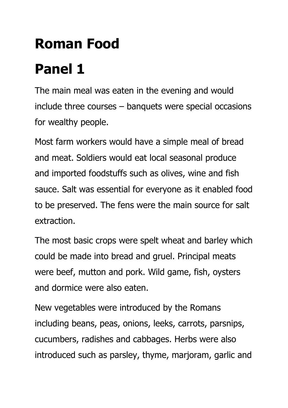### **Roman Food**

### **Panel 1**

The main meal was eaten in the evening and would include three courses – banquets were special occasions for wealthy people.

Most farm workers would have a simple meal of bread and meat. Soldiers would eat local seasonal produce and imported foodstuffs such as olives, wine and fish sauce. Salt was essential for everyone as it enabled food to be preserved. The fens were the main source for salt extraction.

The most basic crops were spelt wheat and barley which could be made into bread and gruel. Principal meats were beef, mutton and pork. Wild game, fish, oysters and dormice were also eaten.

New vegetables were introduced by the Romans including beans, peas, onions, leeks, carrots, parsnips, cucumbers, radishes and cabbages. Herbs were also introduced such as parsley, thyme, marjoram, garlic and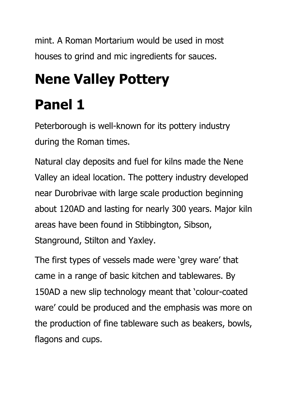mint. A Roman Mortarium would be used in most houses to grind and mic ingredients for sauces.

### **Nene Valley Pottery**

### **Panel 1**

Peterborough is well-known for its pottery industry during the Roman times.

Natural clay deposits and fuel for kilns made the Nene Valley an ideal location. The pottery industry developed near Durobrivae with large scale production beginning about 120AD and lasting for nearly 300 years. Major kiln areas have been found in Stibbington, Sibson, Stanground, Stilton and Yaxley.

The first types of vessels made were 'grey ware' that came in a range of basic kitchen and tablewares. By 150AD a new slip technology meant that 'colour-coated ware' could be produced and the emphasis was more on the production of fine tableware such as beakers, bowls, flagons and cups.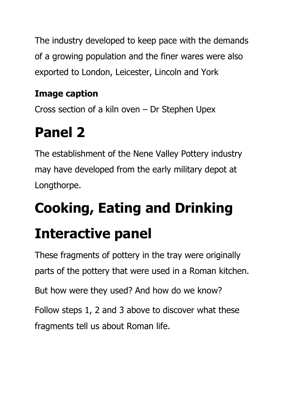The industry developed to keep pace with the demands of a growing population and the finer wares were also exported to London, Leicester, Lincoln and York

#### **Image caption**

Cross section of a kiln oven – Dr Stephen Upex

### **Panel 2**

The establishment of the Nene Valley Pottery industry may have developed from the early military depot at Longthorpe.

# **Cooking, Eating and Drinking**

### **Interactive panel**

These fragments of pottery in the tray were originally parts of the pottery that were used in a Roman kitchen. But how were they used? And how do we know? Follow steps 1, 2 and 3 above to discover what these fragments tell us about Roman life.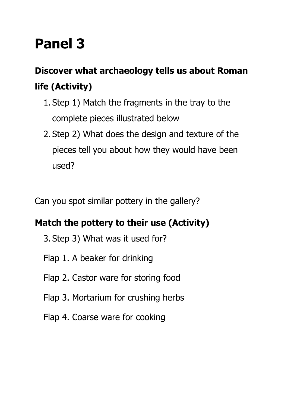### **Panel 3**

#### **Discover what archaeology tells us about Roman life (Activity)**

- 1. Step 1) Match the fragments in the tray to the complete pieces illustrated below
- 2. Step 2) What does the design and texture of the pieces tell you about how they would have been used?

Can you spot similar pottery in the gallery?

#### **Match the pottery to their use (Activity)**

- 3. Step 3) What was it used for?
- Flap 1. A beaker for drinking
- Flap 2. Castor ware for storing food
- Flap 3. Mortarium for crushing herbs
- Flap 4. Coarse ware for cooking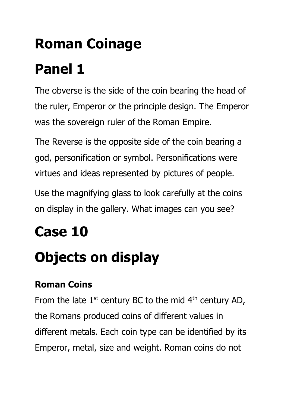# **Roman Coinage Panel 1**

The obverse is the side of the coin bearing the head of the ruler, Emperor or the principle design. The Emperor was the sovereign ruler of the Roman Empire.

The Reverse is the opposite side of the coin bearing a god, personification or symbol. Personifications were virtues and ideas represented by pictures of people.

Use the magnifying glass to look carefully at the coins on display in the gallery. What images can you see?

### **Case 10**

### **Objects on display**

#### **Roman Coins**

From the late  $1<sup>st</sup>$  century BC to the mid  $4<sup>th</sup>$  century AD, the Romans produced coins of different values in different metals. Each coin type can be identified by its Emperor, metal, size and weight. Roman coins do not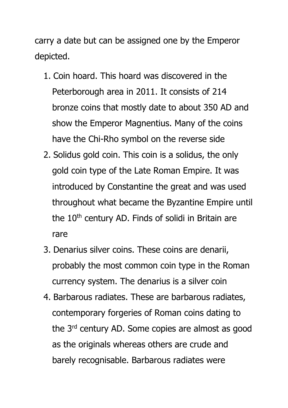carry a date but can be assigned one by the Emperor depicted.

- 1. Coin hoard. This hoard was discovered in the Peterborough area in 2011. It consists of 214 bronze coins that mostly date to about 350 AD and show the Emperor Magnentius. Many of the coins have the Chi-Rho symbol on the reverse side
- 2. Solidus gold coin. This coin is a solidus, the only gold coin type of the Late Roman Empire. It was introduced by Constantine the great and was used throughout what became the Byzantine Empire until the 10<sup>th</sup> century AD. Finds of solidi in Britain are rare
- 3. Denarius silver coins. These coins are denarii, probably the most common coin type in the Roman currency system. The denarius is a silver coin
- 4. Barbarous radiates. These are barbarous radiates, contemporary forgeries of Roman coins dating to the 3<sup>rd</sup> century AD. Some copies are almost as good as the originals whereas others are crude and barely recognisable. Barbarous radiates were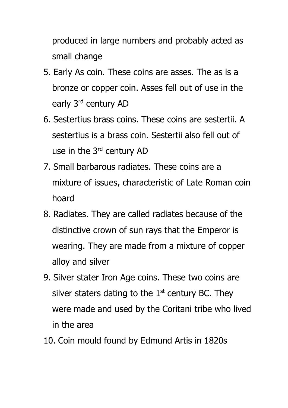produced in large numbers and probably acted as small change

- 5. Early As coin. These coins are asses. The as is a bronze or copper coin. Asses fell out of use in the early 3rd century AD
- 6. Sestertius brass coins. These coins are sestertii. A sestertius is a brass coin. Sestertii also fell out of use in the 3rd century AD
- 7. Small barbarous radiates. These coins are a mixture of issues, characteristic of Late Roman coin hoard
- 8. Radiates. They are called radiates because of the distinctive crown of sun rays that the Emperor is wearing. They are made from a mixture of copper alloy and silver
- 9. Silver stater Iron Age coins. These two coins are silver staters dating to the  $1<sup>st</sup>$  century BC. They were made and used by the Coritani tribe who lived in the area
- 10. Coin mould found by Edmund Artis in 1820s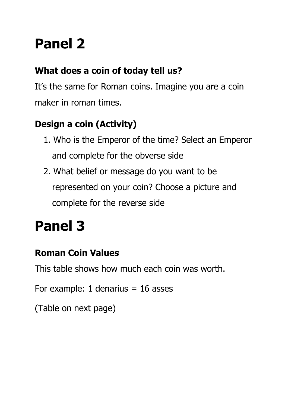### **Panel 2**

#### **What does a coin of today tell us?**

It's the same for Roman coins. Imagine you are a coin maker in roman times.

#### **Design a coin (Activity)**

- 1. Who is the Emperor of the time? Select an Emperor and complete for the obverse side
- 2. What belief or message do you want to be represented on your coin? Choose a picture and complete for the reverse side

### **Panel 3**

#### **Roman Coin Values**

This table shows how much each coin was worth.

For example: 1 denarius  $= 16$  asses

(Table on next page)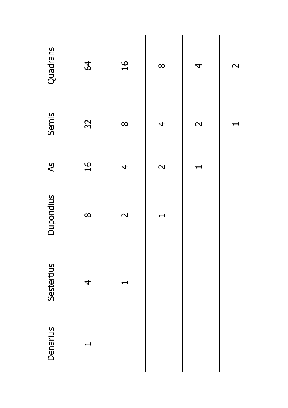| Quadrans        | 64             | $\frac{91}{5}$    | $\infty$                 | 4                 | $\mathbf{\Omega}$ |
|-----------------|----------------|-------------------|--------------------------|-------------------|-------------------|
| Semis           | 32             | $\infty$          | $\overline{\mathcal{A}}$ | $\mathbf{\Omega}$ | ᆏ                 |
| $\overline{A}S$ | $\frac{91}{5}$ | 4                 | $\mathbf{\Omega}$        | ᆏ                 |                   |
| Dupondius       | $\infty$       | $\mathbf{\Omega}$ | ᆋ                        |                   |                   |
| Sestertius      | 4              | ┯                 |                          |                   |                   |
| Denarius        | ┯              |                   |                          |                   |                   |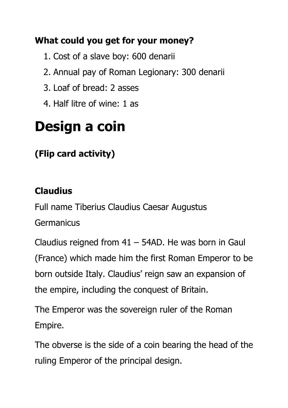#### **What could you get for your money?**

- 1. Cost of a slave boy: 600 denarii
- 2. Annual pay of Roman Legionary: 300 denarii
- 3. Loaf of bread: 2 asses
- 4. Half litre of wine: 1 as

### **Design a coin**

#### **(Flip card activity)**

#### **Claudius**

Full name Tiberius Claudius Caesar Augustus **Germanicus** 

Claudius reigned from  $41 - 54AD$ . He was born in Gaul (France) which made him the first Roman Emperor to be born outside Italy. Claudius' reign saw an expansion of the empire, including the conquest of Britain.

The Emperor was the sovereign ruler of the Roman Empire.

The obverse is the side of a coin bearing the head of the ruling Emperor of the principal design.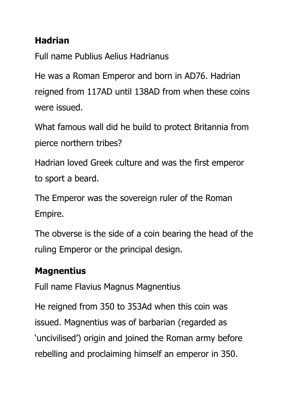#### **Hadrian**

Full name Publius Aelius Hadrianus

He was a Roman Emperor and born in AD76. Hadrian reigned from 117AD until 138AD from when these coins were issued.

What famous wall did he build to protect Britannia from pierce northern tribes?

Hadrian loved Greek culture and was the first emperor to sport a beard.

The Emperor was the sovereign ruler of the Roman Empire.

The obverse is the side of a coin bearing the head of the ruling Emperor or the principal design.

#### **Magnentius**

Full name Flavius Magnus Magnentius

He reigned from 350 to 353Ad when this coin was issued. Magnentius was of barbarian (regarded as 'uncivilised') origin and joined the Roman army before rebelling and proclaiming himself an emperor in 350.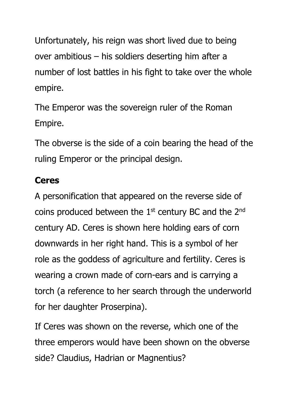Unfortunately, his reign was short lived due to being over ambitious – his soldiers deserting him after a number of lost battles in his fight to take over the whole empire.

The Emperor was the sovereign ruler of the Roman Empire.

The obverse is the side of a coin bearing the head of the ruling Emperor or the principal design.

#### **Ceres**

A personification that appeared on the reverse side of coins produced between the  $1<sup>st</sup>$  century BC and the  $2<sup>nd</sup>$ century AD. Ceres is shown here holding ears of corn downwards in her right hand. This is a symbol of her role as the goddess of agriculture and fertility. Ceres is wearing a crown made of corn-ears and is carrying a torch (a reference to her search through the underworld for her daughter Proserpina).

If Ceres was shown on the reverse, which one of the three emperors would have been shown on the obverse side? Claudius, Hadrian or Magnentius?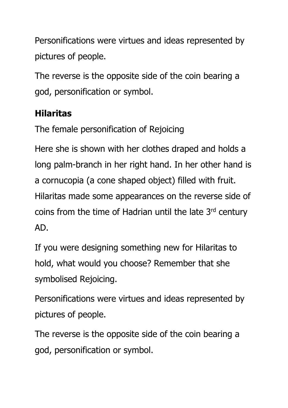Personifications were virtues and ideas represented by pictures of people.

The reverse is the opposite side of the coin bearing a god, personification or symbol.

#### **Hilaritas**

The female personification of Rejoicing

Here she is shown with her clothes draped and holds a long palm-branch in her right hand. In her other hand is a cornucopia (a cone shaped object) filled with fruit. Hilaritas made some appearances on the reverse side of coins from the time of Hadrian until the late  $3<sup>rd</sup>$  century AD.

If you were designing something new for Hilaritas to hold, what would you choose? Remember that she symbolised Rejoicing.

Personifications were virtues and ideas represented by pictures of people.

The reverse is the opposite side of the coin bearing a god, personification or symbol.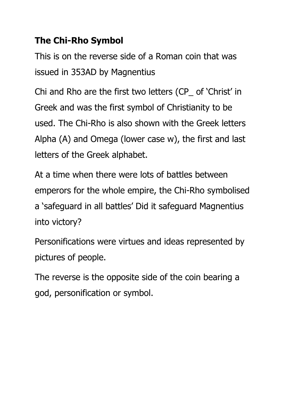#### **The Chi-Rho Symbol**

This is on the reverse side of a Roman coin that was issued in 353AD by Magnentius

Chi and Rho are the first two letters (CP\_ of 'Christ' in Greek and was the first symbol of Christianity to be used. The Chi-Rho is also shown with the Greek letters Alpha (A) and Omega (lower case w), the first and last letters of the Greek alphabet.

At a time when there were lots of battles between emperors for the whole empire, the Chi-Rho symbolised a 'safeguard in all battles' Did it safeguard Magnentius into victory?

Personifications were virtues and ideas represented by pictures of people.

The reverse is the opposite side of the coin bearing a god, personification or symbol.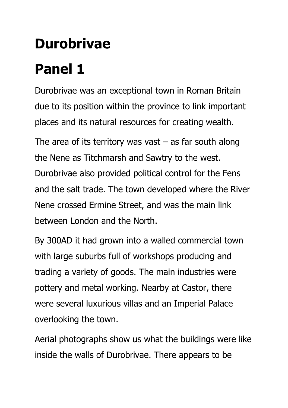# **Durobrivae**

### **Panel 1**

Durobrivae was an exceptional town in Roman Britain due to its position within the province to link important places and its natural resources for creating wealth.

The area of its territory was vast  $-$  as far south along the Nene as Titchmarsh and Sawtry to the west. Durobrivae also provided political control for the Fens and the salt trade. The town developed where the River Nene crossed Ermine Street, and was the main link between London and the North.

By 300AD it had grown into a walled commercial town with large suburbs full of workshops producing and trading a variety of goods. The main industries were pottery and metal working. Nearby at Castor, there were several luxurious villas and an Imperial Palace overlooking the town.

Aerial photographs show us what the buildings were like inside the walls of Durobrivae. There appears to be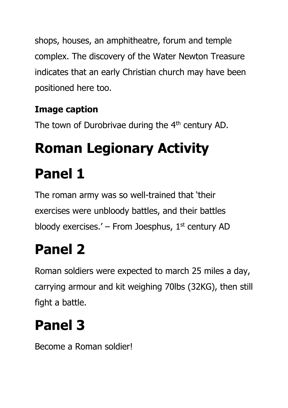shops, houses, an amphitheatre, forum and temple complex. The discovery of the Water Newton Treasure indicates that an early Christian church may have been positioned here too.

#### **Image caption**

The town of Durobrivae during the  $4<sup>th</sup>$  century AD.

# **Roman Legionary Activity Panel 1**

The roman army was so well-trained that 'their exercises were unbloody battles, and their battles bloody exercises.' – From Joesphus,  $1<sup>st</sup>$  century AD

### **Panel 2**

Roman soldiers were expected to march 25 miles a day, carrying armour and kit weighing 70lbs (32KG), then still fight a battle.

### **Panel 3**

Become a Roman soldier!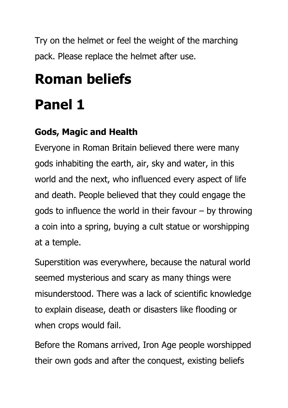Try on the helmet or feel the weight of the marching pack. Please replace the helmet after use.

# **Roman beliefs**

### **Panel 1**

#### **Gods, Magic and Health**

Everyone in Roman Britain believed there were many gods inhabiting the earth, air, sky and water, in this world and the next, who influenced every aspect of life and death. People believed that they could engage the gods to influence the world in their favour – by throwing a coin into a spring, buying a cult statue or worshipping at a temple.

Superstition was everywhere, because the natural world seemed mysterious and scary as many things were misunderstood. There was a lack of scientific knowledge to explain disease, death or disasters like flooding or when crops would fail.

Before the Romans arrived, Iron Age people worshipped their own gods and after the conquest, existing beliefs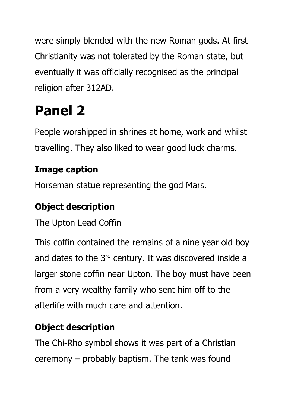were simply blended with the new Roman gods. At first Christianity was not tolerated by the Roman state, but eventually it was officially recognised as the principal religion after 312AD.

### **Panel 2**

People worshipped in shrines at home, work and whilst travelling. They also liked to wear good luck charms.

#### **Image caption**

Horseman statue representing the god Mars.

#### **Object description**

The Upton Lead Coffin

This coffin contained the remains of a nine year old boy and dates to the 3<sup>rd</sup> century. It was discovered inside a larger stone coffin near Upton. The boy must have been from a very wealthy family who sent him off to the afterlife with much care and attention.

#### **Object description**

The Chi-Rho symbol shows it was part of a Christian ceremony – probably baptism. The tank was found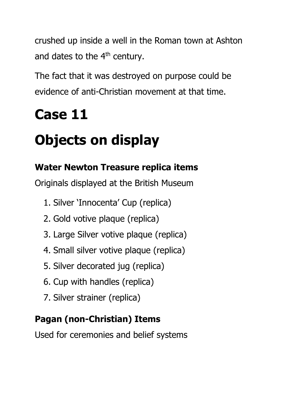crushed up inside a well in the Roman town at Ashton and dates to the  $4<sup>th</sup>$  century.

The fact that it was destroyed on purpose could be evidence of anti-Christian movement at that time.

### **Case 11**

### **Objects on display**

#### **Water Newton Treasure replica items**

Originals displayed at the British Museum

- 1. Silver 'Innocenta' Cup (replica)
- 2. Gold votive plaque (replica)
- 3. Large Silver votive plaque (replica)
- 4. Small silver votive plaque (replica)
- 5. Silver decorated jug (replica)
- 6. Cup with handles (replica)
- 7. Silver strainer (replica)

#### **Pagan (non-Christian) Items**

Used for ceremonies and belief systems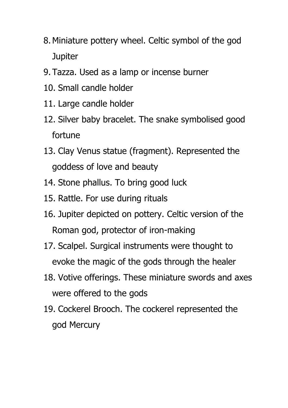- 8.Miniature pottery wheel. Celtic symbol of the god **Jupiter**
- 9. Tazza. Used as a lamp or incense burner
- 10. Small candle holder
- 11. Large candle holder
- 12. Silver baby bracelet. The snake symbolised good fortune
- 13. Clay Venus statue (fragment). Represented the goddess of love and beauty
- 14. Stone phallus. To bring good luck
- 15. Rattle. For use during rituals
- 16. Jupiter depicted on pottery. Celtic version of the Roman god, protector of iron-making
- 17. Scalpel. Surgical instruments were thought to evoke the magic of the gods through the healer
- 18. Votive offerings. These miniature swords and axes were offered to the gods
- 19. Cockerel Brooch. The cockerel represented the god Mercury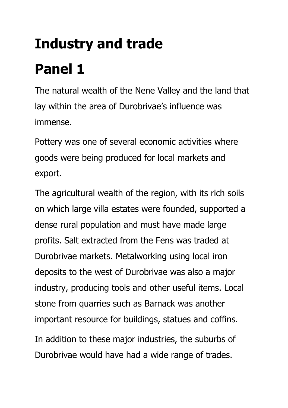# **Industry and trade Panel 1**

The natural wealth of the Nene Valley and the land that lay within the area of Durobrivae's influence was immense.

Pottery was one of several economic activities where goods were being produced for local markets and export.

The agricultural wealth of the region, with its rich soils on which large villa estates were founded, supported a dense rural population and must have made large profits. Salt extracted from the Fens was traded at Durobrivae markets. Metalworking using local iron deposits to the west of Durobrivae was also a major industry, producing tools and other useful items. Local stone from quarries such as Barnack was another important resource for buildings, statues and coffins. In addition to these major industries, the suburbs of

Durobrivae would have had a wide range of trades.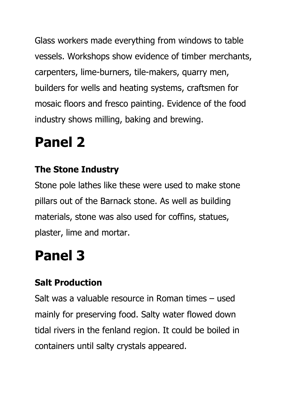Glass workers made everything from windows to table vessels. Workshops show evidence of timber merchants, carpenters, lime-burners, tile-makers, quarry men, builders for wells and heating systems, craftsmen for mosaic floors and fresco painting. Evidence of the food industry shows milling, baking and brewing.

### **Panel 2**

#### **The Stone Industry**

Stone pole lathes like these were used to make stone pillars out of the Barnack stone. As well as building materials, stone was also used for coffins, statues, plaster, lime and mortar.

### **Panel 3**

#### **Salt Production**

Salt was a valuable resource in Roman times – used mainly for preserving food. Salty water flowed down tidal rivers in the fenland region. It could be boiled in containers until salty crystals appeared.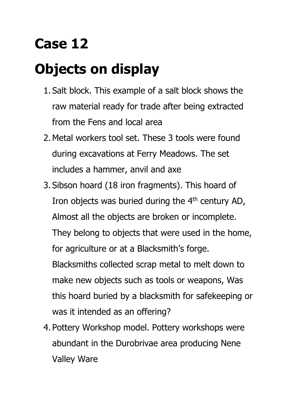### **Case 12**

### **Objects on display**

- 1. Salt block. This example of a salt block shows the raw material ready for trade after being extracted from the Fens and local area
- 2.Metal workers tool set. These 3 tools were found during excavations at Ferry Meadows. The set includes a hammer, anvil and axe
- 3. Sibson hoard (18 iron fragments). This hoard of Iron objects was buried during the 4<sup>th</sup> century AD, Almost all the objects are broken or incomplete. They belong to objects that were used in the home, for agriculture or at a Blacksmith's forge. Blacksmiths collected scrap metal to melt down to make new objects such as tools or weapons, Was this hoard buried by a blacksmith for safekeeping or was it intended as an offering?
- 4. Pottery Workshop model. Pottery workshops were abundant in the Durobrivae area producing Nene Valley Ware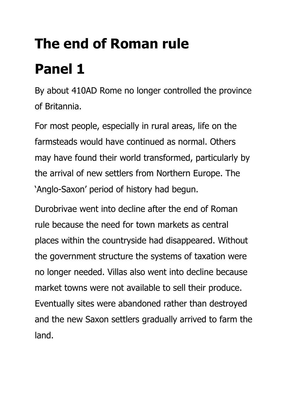# **The end of Roman rule Panel 1**

By about 410AD Rome no longer controlled the province of Britannia.

For most people, especially in rural areas, life on the farmsteads would have continued as normal. Others may have found their world transformed, particularly by the arrival of new settlers from Northern Europe. The 'Anglo-Saxon' period of history had begun.

Durobrivae went into decline after the end of Roman rule because the need for town markets as central places within the countryside had disappeared. Without the government structure the systems of taxation were no longer needed. Villas also went into decline because market towns were not available to sell their produce. Eventually sites were abandoned rather than destroyed and the new Saxon settlers gradually arrived to farm the land.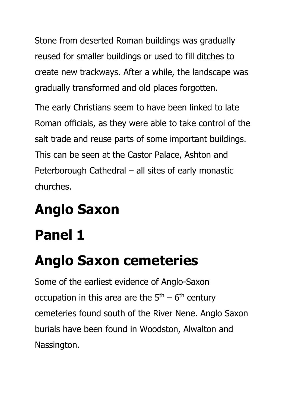Stone from deserted Roman buildings was gradually reused for smaller buildings or used to fill ditches to create new trackways. After a while, the landscape was gradually transformed and old places forgotten.

The early Christians seem to have been linked to late Roman officials, as they were able to take control of the salt trade and reuse parts of some important buildings. This can be seen at the Castor Palace, Ashton and Peterborough Cathedral – all sites of early monastic churches.

## **Anglo Saxon**

### **Panel 1**

### **Anglo Saxon cemeteries**

Some of the earliest evidence of Anglo-Saxon occupation in this area are the  $5<sup>th</sup> - 6<sup>th</sup>$  century cemeteries found south of the River Nene. Anglo Saxon burials have been found in Woodston, Alwalton and Nassington.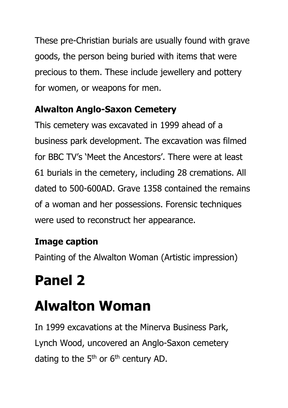These pre-Christian burials are usually found with grave goods, the person being buried with items that were precious to them. These include jewellery and pottery for women, or weapons for men.

#### **Alwalton Anglo-Saxon Cemetery**

This cemetery was excavated in 1999 ahead of a business park development. The excavation was filmed for BBC TV's 'Meet the Ancestors'. There were at least 61 burials in the cemetery, including 28 cremations. All dated to 500-600AD. Grave 1358 contained the remains of a woman and her possessions. Forensic techniques were used to reconstruct her appearance.

#### **Image caption**

Painting of the Alwalton Woman (Artistic impression)

### **Panel 2**

### **Alwalton Woman**

In 1999 excavations at the Minerva Business Park, Lynch Wood, uncovered an Anglo-Saxon cemetery dating to the  $5<sup>th</sup>$  or  $6<sup>th</sup>$  century AD.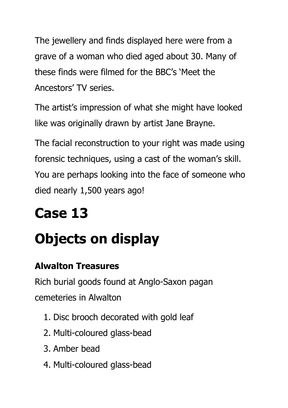The jewellery and finds displayed here were from a grave of a woman who died aged about 30. Many of these finds were filmed for the BBC's 'Meet the Ancestors' TV series.

The artist's impression of what she might have looked like was originally drawn by artist Jane Brayne.

The facial reconstruction to your right was made using forensic techniques, using a cast of the woman's skill. You are perhaps looking into the face of someone who died nearly 1,500 years ago!

### **Case 13**

### **Objects on display**

#### **Alwalton Treasures**

Rich burial goods found at Anglo-Saxon pagan cemeteries in Alwalton

- 1. Disc brooch decorated with gold leaf
- 2. Multi-coloured glass-bead
- 3. Amber bead
- 4. Multi-coloured glass-bead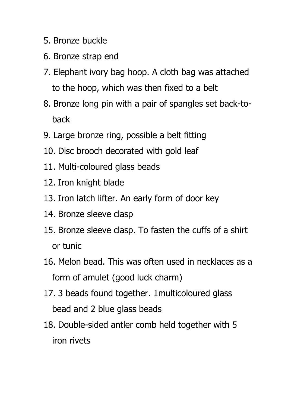- 5. Bronze buckle
- 6. Bronze strap end
- 7. Elephant ivory bag hoop. A cloth bag was attached to the hoop, which was then fixed to a belt
- 8. Bronze long pin with a pair of spangles set back-toback
- 9. Large bronze ring, possible a belt fitting
- 10. Disc brooch decorated with gold leaf
- 11. Multi-coloured glass beads
- 12. Iron knight blade
- 13. Iron latch lifter. An early form of door key
- 14. Bronze sleeve clasp
- 15. Bronze sleeve clasp. To fasten the cuffs of a shirt or tunic
- 16. Melon bead. This was often used in necklaces as a form of amulet (good luck charm)
- 17. 3 beads found together. 1multicoloured glass bead and 2 blue glass beads
- 18. Double-sided antler comb held together with 5 iron rivets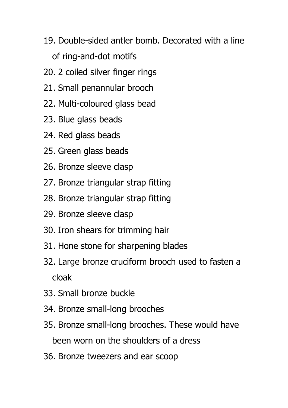- 19. Double-sided antler bomb. Decorated with a line of ring-and-dot motifs
- 20. 2 coiled silver finger rings
- 21. Small penannular brooch
- 22. Multi-coloured glass bead
- 23. Blue glass beads
- 24. Red glass beads
- 25. Green glass beads
- 26. Bronze sleeve clasp
- 27. Bronze triangular strap fitting
- 28. Bronze triangular strap fitting
- 29. Bronze sleeve clasp
- 30. Iron shears for trimming hair
- 31. Hone stone for sharpening blades
- 32. Large bronze cruciform brooch used to fasten a cloak
- 33. Small bronze buckle
- 34. Bronze small-long brooches
- 35. Bronze small-long brooches. These would have been worn on the shoulders of a dress
- 36. Bronze tweezers and ear scoop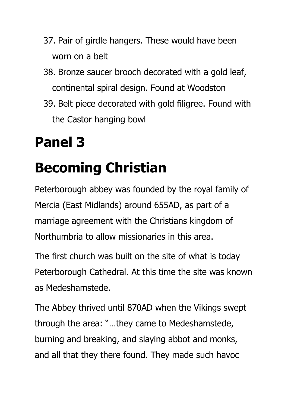- 37. Pair of girdle hangers. These would have been worn on a belt
- 38. Bronze saucer brooch decorated with a gold leaf, continental spiral design. Found at Woodston
- 39. Belt piece decorated with gold filigree. Found with the Castor hanging bowl

### **Panel 3**

### **Becoming Christian**

Peterborough abbey was founded by the royal family of Mercia (East Midlands) around 655AD, as part of a marriage agreement with the Christians kingdom of Northumbria to allow missionaries in this area.

The first church was built on the site of what is today Peterborough Cathedral. At this time the site was known as Medeshamstede.

The Abbey thrived until 870AD when the Vikings swept through the area: "…they came to Medeshamstede, burning and breaking, and slaying abbot and monks, and all that they there found. They made such havoc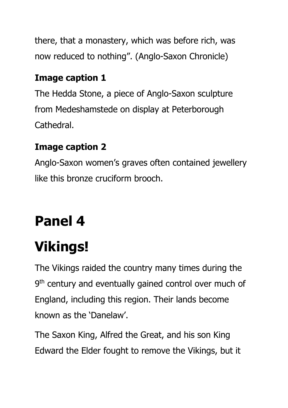there, that a monastery, which was before rich, was now reduced to nothing". (Anglo-Saxon Chronicle)

#### **Image caption 1**

The Hedda Stone, a piece of Anglo-Saxon sculpture from Medeshamstede on display at Peterborough Cathedral.

#### **Image caption 2**

Anglo-Saxon women's graves often contained jewellery like this bronze cruciform brooch.

### **Panel 4**

## **Vikings!**

The Vikings raided the country many times during the 9<sup>th</sup> century and eventually gained control over much of England, including this region. Their lands become known as the 'Danelaw'.

The Saxon King, Alfred the Great, and his son King Edward the Elder fought to remove the Vikings, but it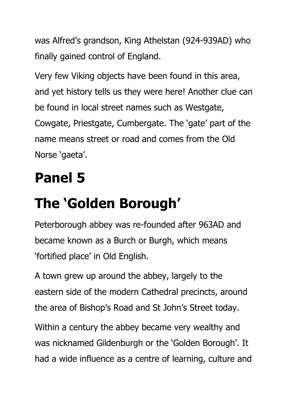was Alfred's grandson, King Athelstan (924-939AD) who finally gained control of England.

Very few Viking objects have been found in this area, and yet history tells us they were here! Another clue can be found in local street names such as Westgate, Cowgate, Priestgate, Cumbergate. The 'gate' part of the name means street or road and comes from the Old Norse 'gaeta'.

### **Panel 5**

# **The 'Golden Borough'**

Peterborough abbey was re-founded after 963AD and became known as a Burch or Burgh, which means 'fortified place' in Old English.

A town grew up around the abbey, largely to the eastern side of the modern Cathedral precincts, around the area of Bishop's Road and St John's Street today.

Within a century the abbey became very wealthy and was nicknamed Gildenburgh or the 'Golden Borough'. It had a wide influence as a centre of learning, culture and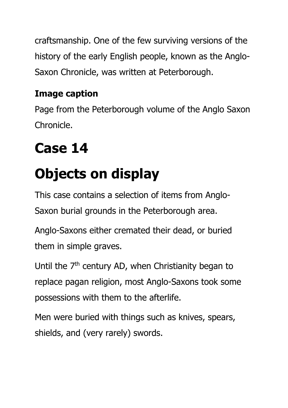craftsmanship. One of the few surviving versions of the history of the early English people, known as the Anglo-Saxon Chronicle, was written at Peterborough.

#### **Image caption**

Page from the Peterborough volume of the Anglo Saxon Chronicle.

# **Case 14**

# **Objects on display**

This case contains a selection of items from Anglo-Saxon burial grounds in the Peterborough area.

Anglo-Saxons either cremated their dead, or buried them in simple graves.

Until the  $7<sup>th</sup>$  century AD, when Christianity began to replace pagan religion, most Anglo-Saxons took some possessions with them to the afterlife.

Men were buried with things such as knives, spears, shields, and (very rarely) swords.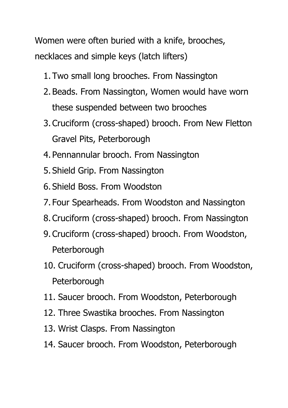Women were often buried with a knife, brooches, necklaces and simple keys (latch lifters)

- 1. Two small long brooches. From Nassington
- 2. Beads. From Nassington, Women would have worn these suspended between two brooches
- 3.Cruciform (cross-shaped) brooch. From New Fletton Gravel Pits, Peterborough
- 4. Pennannular brooch. From Nassington
- 5. Shield Grip. From Nassington
- 6. Shield Boss. From Woodston
- 7. Four Spearheads. From Woodston and Nassington
- 8.Cruciform (cross-shaped) brooch. From Nassington
- 9.Cruciform (cross-shaped) brooch. From Woodston, Peterborough
- 10. Cruciform (cross-shaped) brooch. From Woodston, **Peterborough**
- 11. Saucer brooch. From Woodston, Peterborough
- 12. Three Swastika brooches. From Nassington
- 13. Wrist Clasps. From Nassington
- 14. Saucer brooch. From Woodston, Peterborough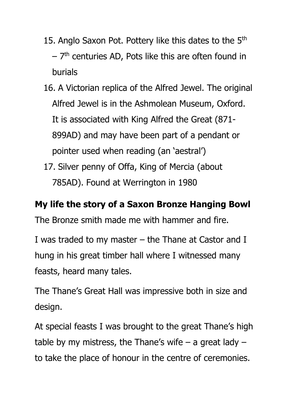- 15. Anglo Saxon Pot. Pottery like this dates to the  $5<sup>th</sup>$ – 7 th centuries AD, Pots like this are often found in burials
- 16. A Victorian replica of the Alfred Jewel. The original Alfred Jewel is in the Ashmolean Museum, Oxford. It is associated with King Alfred the Great (871- 899AD) and may have been part of a pendant or pointer used when reading (an 'aestral')
- 17. Silver penny of Offa, King of Mercia (about 785AD). Found at Werrington in 1980

#### **My life the story of a Saxon Bronze Hanging Bowl**

The Bronze smith made me with hammer and fire.

I was traded to my master – the Thane at Castor and I hung in his great timber hall where I witnessed many feasts, heard many tales.

The Thane's Great Hall was impressive both in size and design.

At special feasts I was brought to the great Thane's high table by my mistress, the Thane's wife  $-$  a great lady  $$ to take the place of honour in the centre of ceremonies.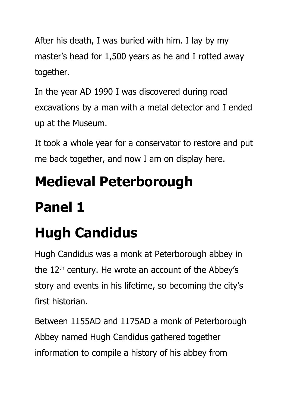After his death, I was buried with him. I lay by my master's head for 1,500 years as he and I rotted away together.

In the year AD 1990 I was discovered during road excavations by a man with a metal detector and I ended up at the Museum.

It took a whole year for a conservator to restore and put me back together, and now I am on display here.

# **Medieval Peterborough**

### **Panel 1**

# **Hugh Candidus**

Hugh Candidus was a monk at Peterborough abbey in the  $12<sup>th</sup>$  century. He wrote an account of the Abbey's story and events in his lifetime, so becoming the city's first historian.

Between 1155AD and 1175AD a monk of Peterborough Abbey named Hugh Candidus gathered together information to compile a history of his abbey from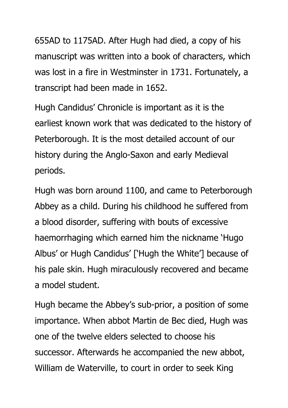655AD to 1175AD. After Hugh had died, a copy of his manuscript was written into a book of characters, which was lost in a fire in Westminster in 1731. Fortunately, a transcript had been made in 1652.

Hugh Candidus' Chronicle is important as it is the earliest known work that was dedicated to the history of Peterborough. It is the most detailed account of our history during the Anglo-Saxon and early Medieval periods.

Hugh was born around 1100, and came to Peterborough Abbey as a child. During his childhood he suffered from a blood disorder, suffering with bouts of excessive haemorrhaging which earned him the nickname 'Hugo Albus' or Hugh Candidus' ['Hugh the White'] because of his pale skin. Hugh miraculously recovered and became a model student.

Hugh became the Abbey's sub-prior, a position of some importance. When abbot Martin de Bec died, Hugh was one of the twelve elders selected to choose his successor. Afterwards he accompanied the new abbot, William de Waterville, to court in order to seek King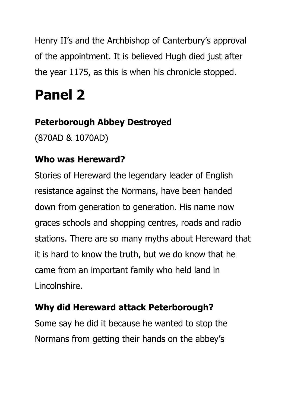Henry II's and the Archbishop of Canterbury's approval of the appointment. It is believed Hugh died just after the year 1175, as this is when his chronicle stopped.

### **Panel 2**

#### **Peterborough Abbey Destroyed**

(870AD & 1070AD)

#### **Who was Hereward?**

Stories of Hereward the legendary leader of English resistance against the Normans, have been handed down from generation to generation. His name now graces schools and shopping centres, roads and radio stations. There are so many myths about Hereward that it is hard to know the truth, but we do know that he came from an important family who held land in Lincolnshire.

#### **Why did Hereward attack Peterborough?**

Some say he did it because he wanted to stop the Normans from getting their hands on the abbey's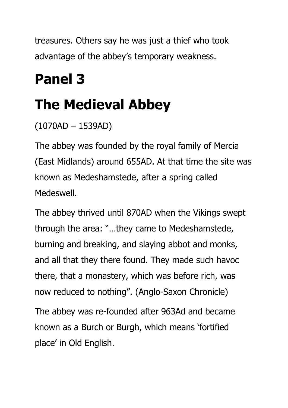treasures. Others say he was just a thief who took advantage of the abbey's temporary weakness.

### **Panel 3**

### **The Medieval Abbey**

#### (1070AD – 1539AD)

The abbey was founded by the royal family of Mercia (East Midlands) around 655AD. At that time the site was known as Medeshamstede, after a spring called Medeswell.

The abbey thrived until 870AD when the Vikings swept through the area: "…they came to Medeshamstede, burning and breaking, and slaying abbot and monks, and all that they there found. They made such havoc there, that a monastery, which was before rich, was now reduced to nothing". (Anglo-Saxon Chronicle) The abbey was re-founded after 963Ad and became known as a Burch or Burgh, which means 'fortified place' in Old English.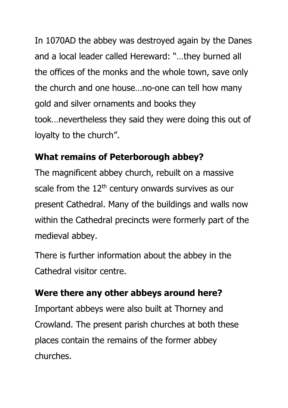In 1070AD the abbey was destroyed again by the Danes and a local leader called Hereward: "…they burned all the offices of the monks and the whole town, save only the church and one house…no-one can tell how many gold and silver ornaments and books they took…nevertheless they said they were doing this out of loyalty to the church".

#### **What remains of Peterborough abbey?**

The magnificent abbey church, rebuilt on a massive scale from the  $12<sup>th</sup>$  century onwards survives as our present Cathedral. Many of the buildings and walls now within the Cathedral precincts were formerly part of the medieval abbey.

There is further information about the abbey in the Cathedral visitor centre.

#### **Were there any other abbeys around here?**

Important abbeys were also built at Thorney and Crowland. The present parish churches at both these places contain the remains of the former abbey churches.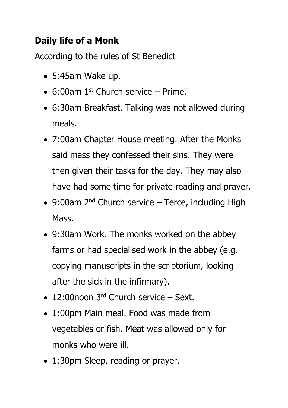#### **Daily life of a Monk**

According to the rules of St Benedict

- 5:45am Wake up.
- 6:00am  $1<sup>st</sup>$  Church service Prime.
- 6:30am Breakfast. Talking was not allowed during meals.
- 7:00am Chapter House meeting. After the Monks said mass they confessed their sins. They were then given their tasks for the day. They may also have had some time for private reading and prayer.
- 9:00am  $2^{nd}$  Church service Terce, including High Mass.
- 9:30am Work. The monks worked on the abbey farms or had specialised work in the abbey (e.g. copying manuscripts in the scriptorium, looking after the sick in the infirmary).
- $\bullet$  12:00noon 3<sup>rd</sup> Church service Sext.
- 1:00pm Main meal. Food was made from vegetables or fish. Meat was allowed only for monks who were ill.
- 1:30pm Sleep, reading or prayer.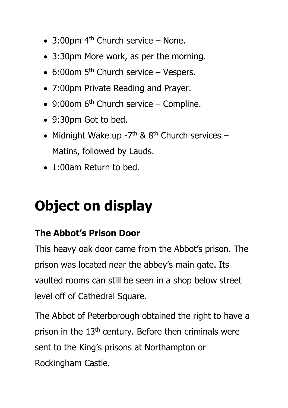- 3:00pm  $4<sup>th</sup>$  Church service None.
- 3:30pm More work, as per the morning.
- 6:00om  $5<sup>th</sup>$  Church service Vespers.
- 7:00pm Private Reading and Prayer.
- $\bullet$  9:00om 6<sup>th</sup> Church service Compline.
- 9:30pm Got to bed.
- Midnight Wake up  $-7$ <sup>th</sup> & 8<sup>th</sup> Church services Matins, followed by Lauds.
- 1:00am Return to bed.

### **Object on display**

#### **The Abbot's Prison Door**

This heavy oak door came from the Abbot's prison. The prison was located near the abbey's main gate. Its vaulted rooms can still be seen in a shop below street level off of Cathedral Square.

The Abbot of Peterborough obtained the right to have a prison in the 13<sup>th</sup> century. Before then criminals were sent to the King's prisons at Northampton or Rockingham Castle.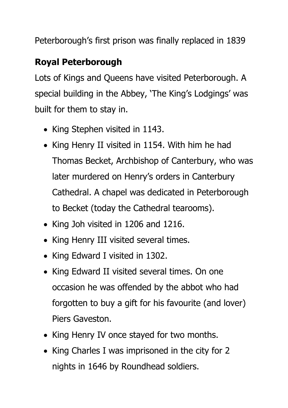Peterborough's first prison was finally replaced in 1839

#### **Royal Peterborough**

Lots of Kings and Queens have visited Peterborough. A special building in the Abbey, 'The King's Lodgings' was built for them to stay in.

- King Stephen visited in 1143.
- King Henry II visited in 1154. With him he had Thomas Becket, Archbishop of Canterbury, who was later murdered on Henry's orders in Canterbury Cathedral. A chapel was dedicated in Peterborough to Becket (today the Cathedral tearooms).
- King Joh visited in 1206 and 1216.
- King Henry III visited several times.
- King Edward I visited in 1302.
- King Edward II visited several times. On one occasion he was offended by the abbot who had forgotten to buy a gift for his favourite (and lover) Piers Gaveston.
- King Henry IV once stayed for two months.
- King Charles I was imprisoned in the city for 2 nights in 1646 by Roundhead soldiers.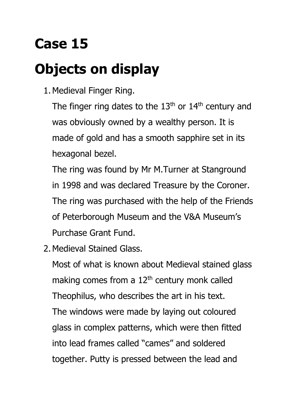## **Case 15**

## **Objects on display**

1.Medieval Finger Ring.

The finger ring dates to the  $13<sup>th</sup>$  or  $14<sup>th</sup>$  century and was obviously owned by a wealthy person. It is made of gold and has a smooth sapphire set in its hexagonal bezel.

The ring was found by Mr M.Turner at Stanground in 1998 and was declared Treasure by the Coroner. The ring was purchased with the help of the Friends of Peterborough Museum and the V&A Museum's Purchase Grant Fund.

2.Medieval Stained Glass.

Most of what is known about Medieval stained glass making comes from a  $12<sup>th</sup>$  century monk called Theophilus, who describes the art in his text. The windows were made by laying out coloured glass in complex patterns, which were then fitted into lead frames called "cames" and soldered together. Putty is pressed between the lead and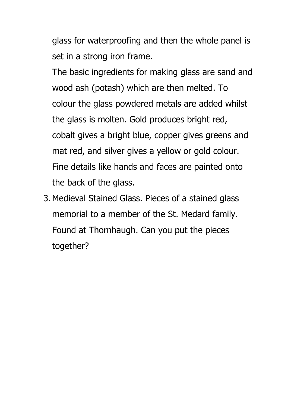glass for waterproofing and then the whole panel is set in a strong iron frame.

The basic ingredients for making glass are sand and wood ash (potash) which are then melted. To colour the glass powdered metals are added whilst the glass is molten. Gold produces bright red, cobalt gives a bright blue, copper gives greens and mat red, and silver gives a yellow or gold colour. Fine details like hands and faces are painted onto the back of the glass.

3.Medieval Stained Glass. Pieces of a stained glass memorial to a member of the St. Medard family. Found at Thornhaugh. Can you put the pieces together?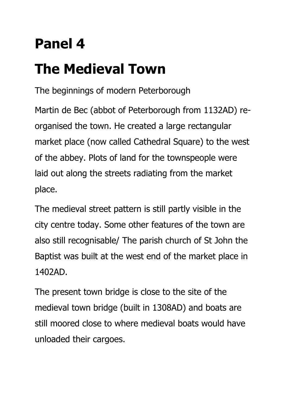### **Panel 4**

# **The Medieval Town**

The beginnings of modern Peterborough

Martin de Bec (abbot of Peterborough from 1132AD) reorganised the town. He created a large rectangular market place (now called Cathedral Square) to the west of the abbey. Plots of land for the townspeople were laid out along the streets radiating from the market place.

The medieval street pattern is still partly visible in the city centre today. Some other features of the town are also still recognisable/ The parish church of St John the Baptist was built at the west end of the market place in 1402AD.

The present town bridge is close to the site of the medieval town bridge (built in 1308AD) and boats are still moored close to where medieval boats would have unloaded their cargoes.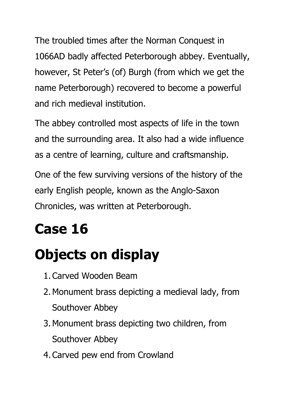The troubled times after the Norman Conquest in 1066AD badly affected Peterborough abbey. Eventually, however, St Peter's (of) Burgh (from which we get the name Peterborough) recovered to become a powerful and rich medieval institution.

The abbey controlled most aspects of life in the town and the surrounding area. It also had a wide influence as a centre of learning, culture and craftsmanship.

One of the few surviving versions of the history of the early English people, known as the Anglo-Saxon Chronicles, was written at Peterborough.

# **Case 16**

# **Objects on display**

- 1.Carved Wooden Beam
- 2.Monument brass depicting a medieval lady, from Southover Abbey
- 3.Monument brass depicting two children, from Southover Abbey
- 4.Carved pew end from Crowland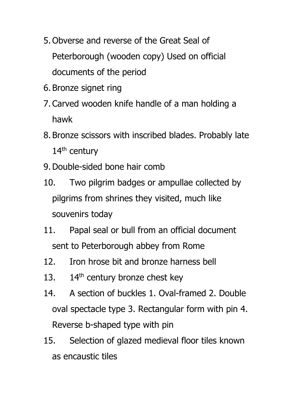- 5. Obverse and reverse of the Great Seal of Peterborough (wooden copy) Used on official documents of the period
- 6. Bronze signet ring
- 7.Carved wooden knife handle of a man holding a hawk
- 8. Bronze scissors with inscribed blades. Probably late 14<sup>th</sup> century
- 9.Double-sided bone hair comb
- 10. Two pilgrim badges or ampullae collected by pilgrims from shrines they visited, much like souvenirs today
- 11. Papal seal or bull from an official document sent to Peterborough abbey from Rome
- 12. Iron hrose bit and bronze harness bell
- 13.  $14<sup>th</sup>$  century bronze chest key
- 14. A section of buckles 1. Oval-framed 2. Double oval spectacle type 3. Rectangular form with pin 4. Reverse b-shaped type with pin
- 15. Selection of glazed medieval floor tiles known as encaustic tiles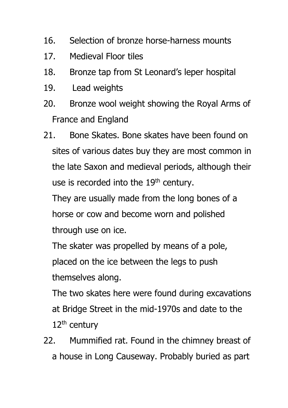- 16. Selection of bronze horse-harness mounts
- 17. Medieval Floor tiles
- 18. Bronze tap from St Leonard's leper hospital
- 19. Lead weights
- 20. Bronze wool weight showing the Royal Arms of France and England
- 21. Bone Skates. Bone skates have been found on sites of various dates buy they are most common in the late Saxon and medieval periods, although their use is recorded into the 19<sup>th</sup> century.

They are usually made from the long bones of a horse or cow and become worn and polished through use on ice.

The skater was propelled by means of a pole, placed on the ice between the legs to push themselves along.

The two skates here were found during excavations at Bridge Street in the mid-1970s and date to the  $12<sup>th</sup>$  century

22. Mummified rat. Found in the chimney breast of a house in Long Causeway. Probably buried as part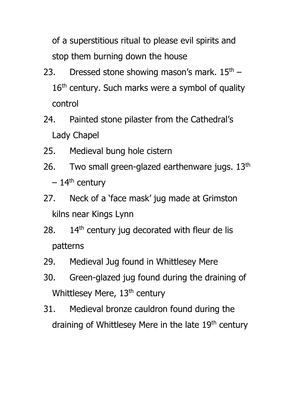of a superstitious ritual to please evil spirits and stop them burning down the house

- 23. Dressed stone showing mason's mark.  $15<sup>th</sup>$   $16<sup>th</sup>$  century. Such marks were a symbol of quality control
- 24. Painted stone pilaster from the Cathedral's Lady Chapel
- 25. Medieval bung hole cistern
- 26. Two small green-glazed earthenware jugs.  $13<sup>th</sup>$  $-14$ <sup>th</sup> century
- 27. Neck of a 'face mask' jug made at Grimston kilns near Kings Lynn
- 28.  $14<sup>th</sup>$  century jug decorated with fleur de lis patterns
- 29. Medieval Jug found in Whittlesey Mere
- 30. Green-glazed jug found during the draining of Whittlesey Mere, 13<sup>th</sup> century
- 31. Medieval bronze cauldron found during the draining of Whittlesey Mere in the late 19<sup>th</sup> century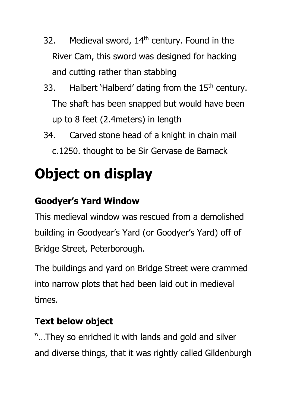- 32. Medieval sword, 14<sup>th</sup> century. Found in the River Cam, this sword was designed for hacking and cutting rather than stabbing
- 33. Halbert 'Halberd' dating from the  $15<sup>th</sup>$  century. The shaft has been snapped but would have been up to 8 feet (2.4meters) in length
- 34. Carved stone head of a knight in chain mail c.1250. thought to be Sir Gervase de Barnack

## **Object on display**

#### **Goodyer's Yard Window**

This medieval window was rescued from a demolished building in Goodyear's Yard (or Goodyer's Yard) off of Bridge Street, Peterborough.

The buildings and yard on Bridge Street were crammed into narrow plots that had been laid out in medieval times.

#### **Text below object**

"…They so enriched it with lands and gold and silver and diverse things, that it was rightly called Gildenburgh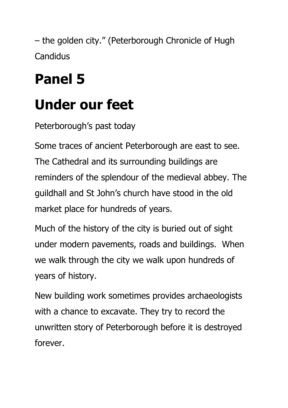– the golden city." (Peterborough Chronicle of Hugh **Candidus** 

## **Panel 5**

### **Under our feet**

Peterborough's past today

Some traces of ancient Peterborough are east to see. The Cathedral and its surrounding buildings are reminders of the splendour of the medieval abbey. The guildhall and St John's church have stood in the old market place for hundreds of years.

Much of the history of the city is buried out of sight under modern pavements, roads and buildings. When we walk through the city we walk upon hundreds of years of history.

New building work sometimes provides archaeologists with a chance to excavate. They try to record the unwritten story of Peterborough before it is destroyed forever.